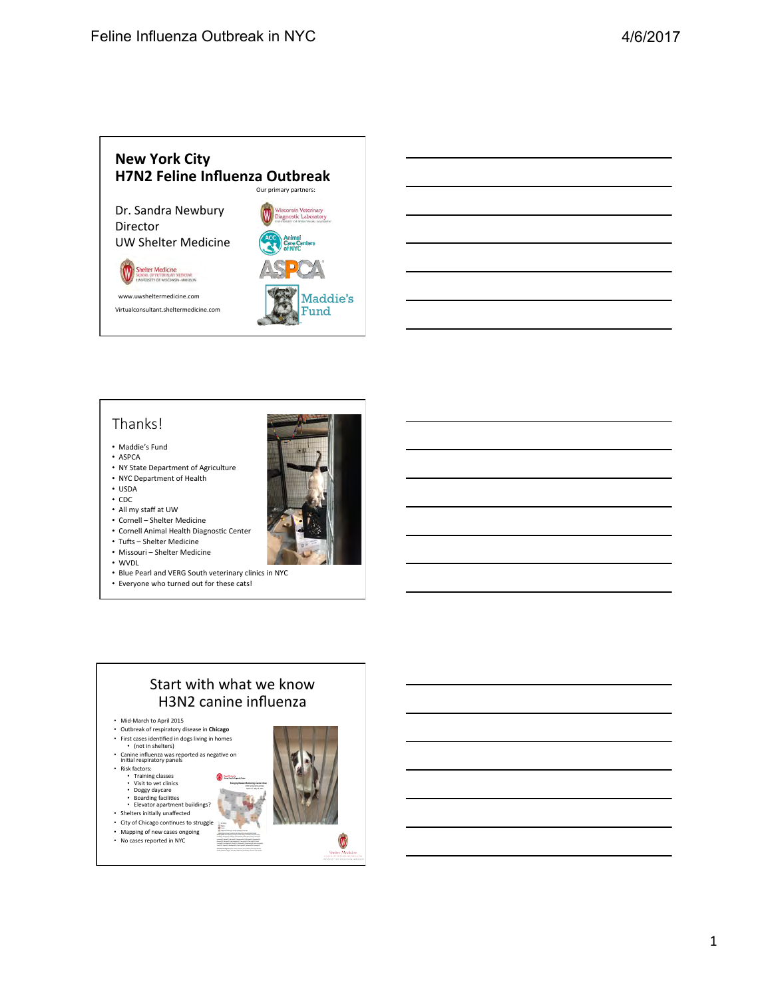

#### Thanks!

- Maddie's Fund
- ASPCA
- NY State Department of Agriculture • NYC Department of Health
- USDA
- CDC
- All my staff at UW
- Cornell Shelter Medicine
- Cornell Animal Health Diagnostic Center
- Tufts Shelter Medicine
- Missouri Shelter Medicine
- WVDL
- Blue Pearl and VERG South veterinary clinics in NYC
- Everyone who turned out for these cats!



#### Start with what we know H3N2 canine influenza

- Mid-March to April 2015
- Outbreak of respiratory disease in **Chicago**
- First cases identified in dogs living in homes<br>• (not in shelters)
- Canine influenza was reported as negative on<br>initial respiratory panels
- 
- Risk factors:<br>• Training classes<br>• Visit to vet clinics
- 
- 
- Doggy daycare<br>• Boarding facilities<br>• Elevator apartment buildings?<br>• Shelters initially unaffected
- City of Chicago continues to struggle
- Mapping of new cases ongoing
- No cases reported in NYC



V

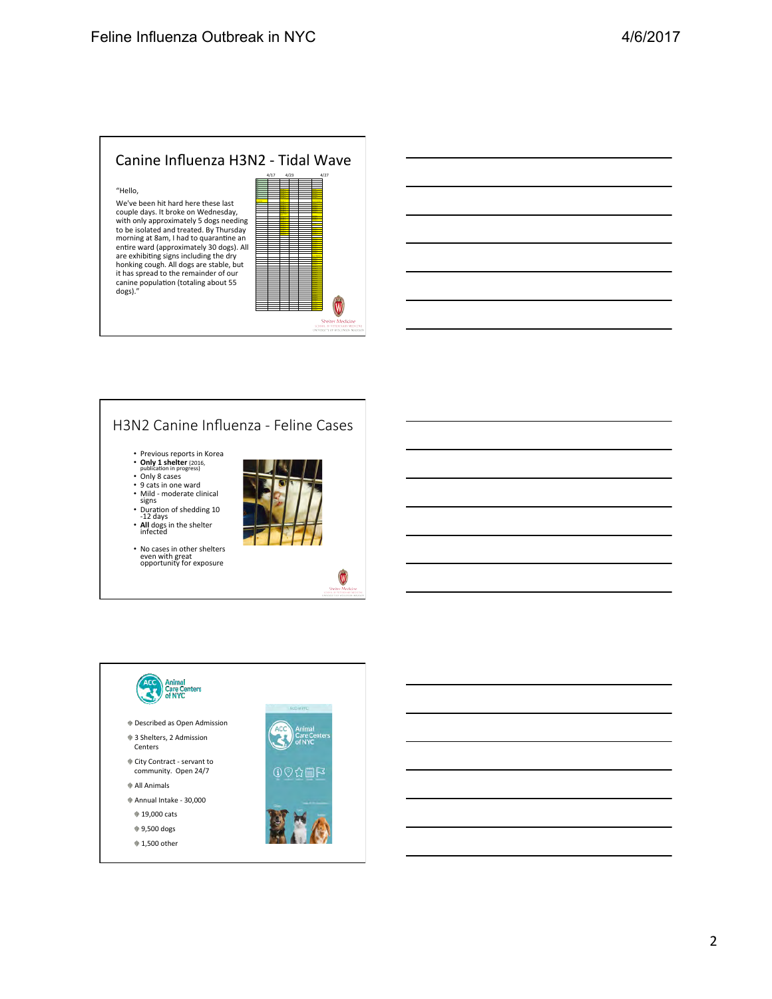#### Canine Influenza H3N2 - Tidal Wave

#### "Hello,

We've been hit hard here these last couple days. It broke on Wednesday,<br>with only approximately 5 dogs needing to be isolated and treated. By Thursda morning at 8am, I had to quarantine an<br>entire ward (approximately 30 dogs). All are exhibiting signs including the dry<br>honking cough. All dogs are stable, but<br>it has spread to the remainder of our canine population (totaling about 55<br>dogs)."

| ╯        | . |      |      | . | . <u>.</u>                                               |
|----------|---|------|------|---|----------------------------------------------------------|
|          |   | 4/17 | 4/23 |   | 4/27                                                     |
|          |   |      |      |   |                                                          |
|          |   |      |      |   |                                                          |
|          |   |      |      |   |                                                          |
|          |   |      |      |   |                                                          |
|          |   |      |      |   |                                                          |
|          |   |      |      |   |                                                          |
|          |   |      |      |   |                                                          |
|          |   |      |      |   |                                                          |
| ٦g       |   |      |      |   |                                                          |
|          |   |      |      |   |                                                          |
| ıy       |   |      |      |   |                                                          |
|          |   |      |      |   |                                                          |
|          |   |      |      |   |                                                          |
| n<br>All |   |      |      |   |                                                          |
|          |   |      |      |   |                                                          |
|          |   |      |      |   |                                                          |
|          |   |      |      |   |                                                          |
| t        |   |      |      |   |                                                          |
|          |   |      |      |   |                                                          |
|          |   |      |      |   |                                                          |
|          |   |      |      |   |                                                          |
|          |   |      |      |   |                                                          |
|          |   |      |      |   |                                                          |
|          |   |      |      |   |                                                          |
|          |   |      |      |   |                                                          |
|          |   |      |      |   |                                                          |
|          |   |      |      |   |                                                          |
|          |   |      |      |   |                                                          |
|          |   |      |      |   |                                                          |
|          |   |      |      |   | <b>Shelter Medicine</b><br>SCHOOL OF VETERINARY MEDICINE |
|          |   |      |      |   | UNIVERSITY OF WISCONSIN-MADISC                           |
|          |   |      |      |   |                                                          |



#### H3N2 Canine Influenza - Feline Cases

- Previous reports in Korea<br>• **Only 1 shelter** (2016,<br>publication in progress)
- 
- Only 8 cases
- 
- 9 cats in one ward<br>• Mild moderate clinical<br>signs<br>• Duration of shedding 10<br>-12 days
- **All** dogs in the shelter infected
- 
- No cases in other shelters<br>even with great<br>opportunity for exposure



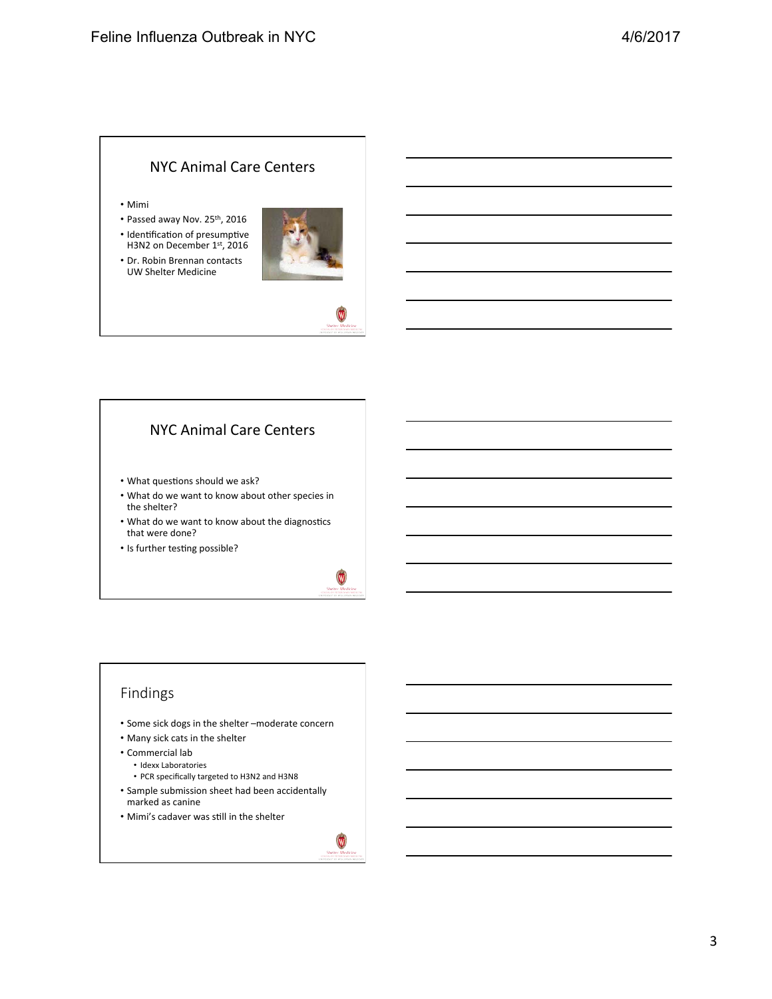#### NYC Animal Care Centers

- Mimi
- Passed away Nov. 25<sup>th</sup>, 2016
- Identification of presumptive H3N2 on December 1st, 2016
- Dr. Robin Brennan contacts UW Shelter Medicine





- What questions should we ask?
- What do we want to know about other species in the shelter?
- What do we want to know about the diagnostics that were done?
- Is further testing possible?



#### Findings

- Some sick dogs in the shelter -moderate concern
- Many sick cats in the shelter
- Commercial lab
	- Idexx Laboratories
	- PCR specifically targeted to H3N2 and H3N8
- Sample submission sheet had been accidentally marked as canine
- Mimi's cadaver was still in the shelter

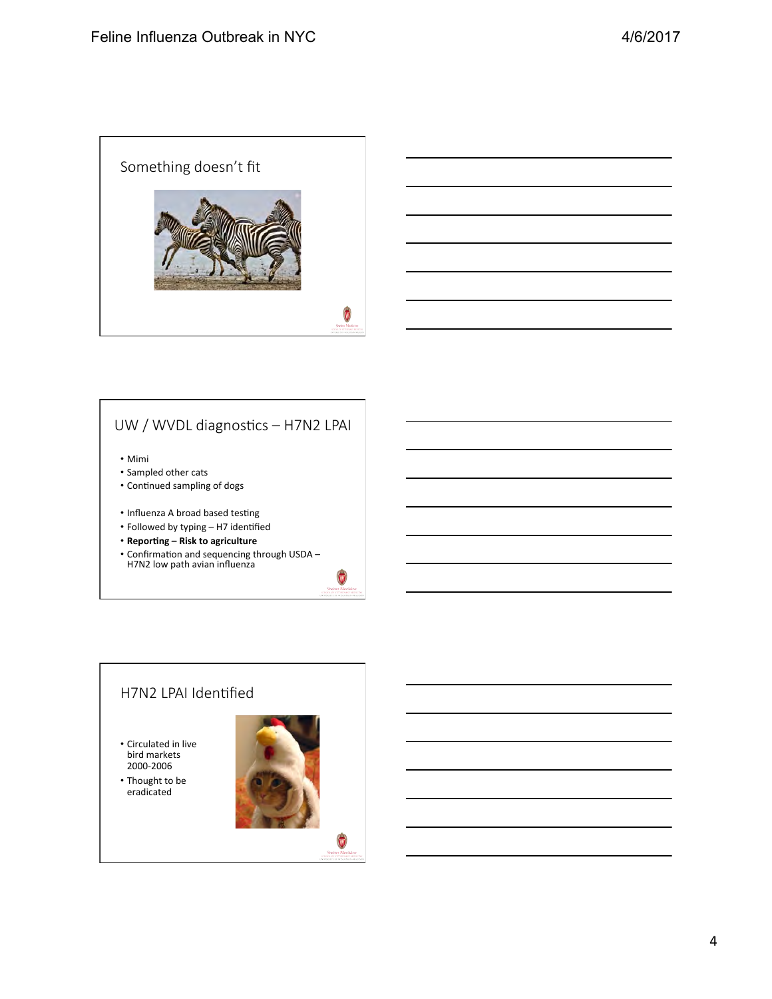



### UW / WVDL diagnostics - H7N2 LPAI

• Mimi 

- Sampled other cats
- Continued sampling of dogs
- Influenza A broad based testing
- Followed by typing H7 identified
- **Reporting Risk to agriculture**
- Confirmation and sequencing through USDA –<br>H7N2 low path avian influenza



- Circulated in live bird markets 2000-2006
- Thought to be eradicated



 $\mathbf w$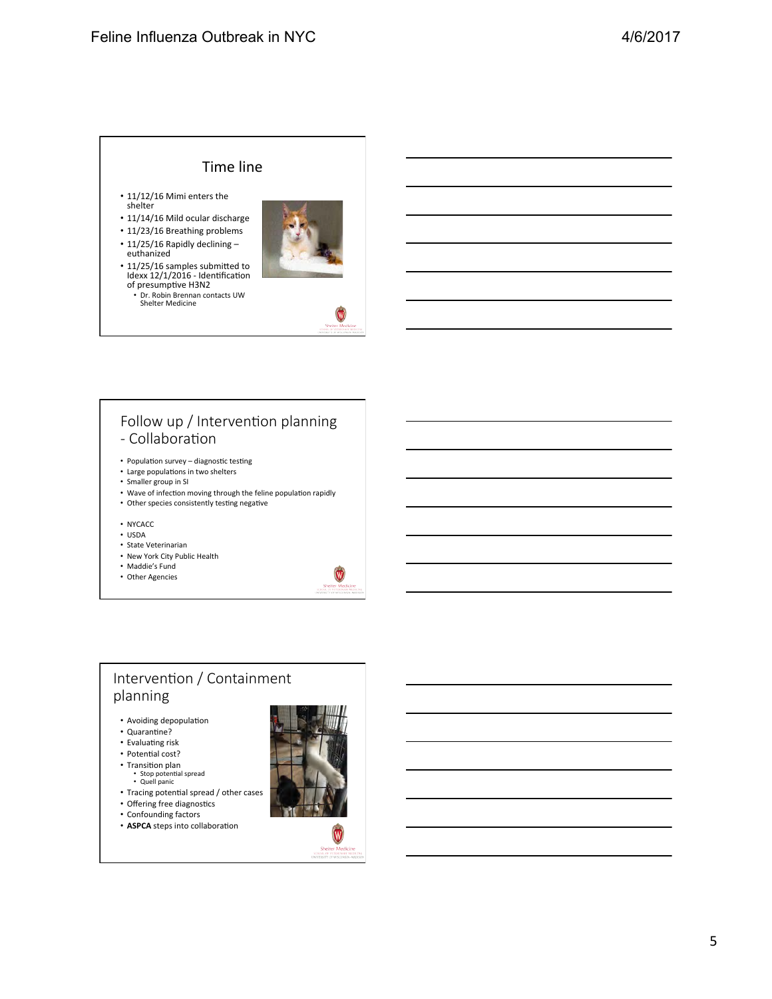#### Time line

- 11/12/16 Mimi enters the shelter
- 11/14/16 Mild ocular discharge
- 11/23/16 Breathing problems
- 11/25/16 Rapidly declining  $$ euthanized



v

- 11/25/16 samples submitted to Idexx 12/1/2016 - Identification<br>of presumptive H3N2
	- Dr. Robin Brennan contacts UW<br>Shelter Medicine

#### Follow up / Intervention planning - Collaboration

- Population survey  $-$  diagnostic testing
- Large populations in two shelters
- Smaller group in SI
- Wave of infection moving through the feline population rapidly
- Other species consistently testing negative
- NYCACC
- $\cdot$  USDA
- State Veterinarian
- New York City Public Health
- Maddie's Fund
- Other Agencies



#### Intervention / Containment planning

- Avoiding depopulation
- Quarantine?
- Evaluating risk
- Potential cost?
- Transition plan
- Stop potential spread<br>• Quell panic
- Tracing potential spread / other cases
- Offering free diagnostics
- Confounding factors
- **ASPCA** steps into collaboration



W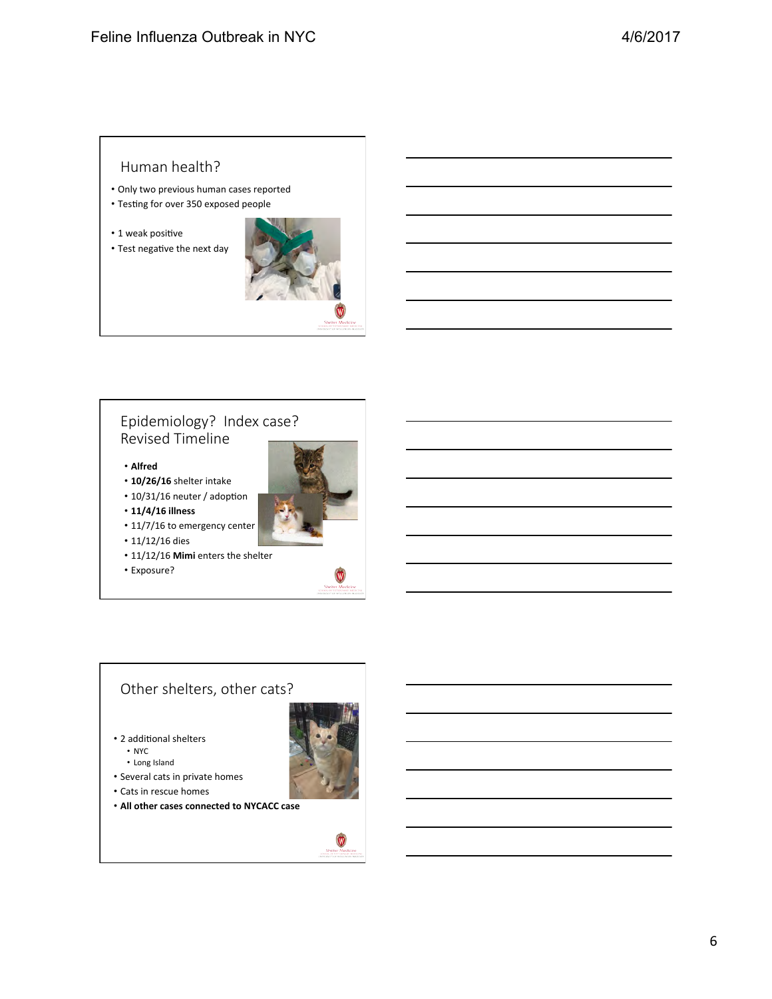#### Human health?

- Only two previous human cases reported
- Testing for over 350 exposed people
- $\cdot$  1 weak positive





#### Epidemiology? Index case? Revised Timeline

- **Alfred**
- 10/26/16 shelter intake
- $\cdot$  10/31/16 neuter / adoption
- **11/4/16 illness**



- $11/12/16$  dies
- 11/12/16 Mimi enters the shelter
- Exposure?



#### Other shelters, other cats?

- 2 additional shelters
	- NYC
	- Long Island
- Several cats in private homes
- Cats in rescue homes
- **All other cases connected to NYCACC case**



 $\bullet$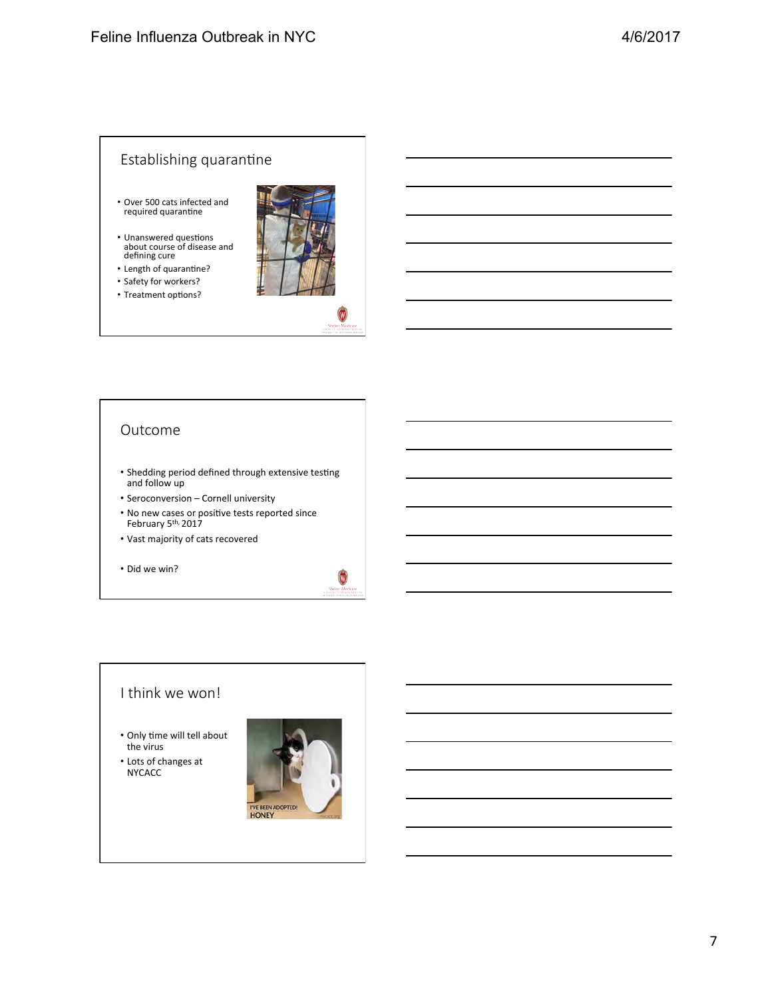#### Establishing quarantine

- Over 500 cats infected and required quarantine
- Unanswered questions<br>about course of disease and defining cure
- $\cdot$  Length of quarantine?
- Safety for workers?
- Treatment options?



#### Outcome

- Shedding period defined through extensive testing and follow up
- Seroconversion Cornell university
- No new cases or positive tests reported since February 5<sup>th,</sup> 2017
- Vast majority of cats recovered
- Did we win?



#### I think we won!

- Only time will tell about the virus
- Lots of changes at NYCACC

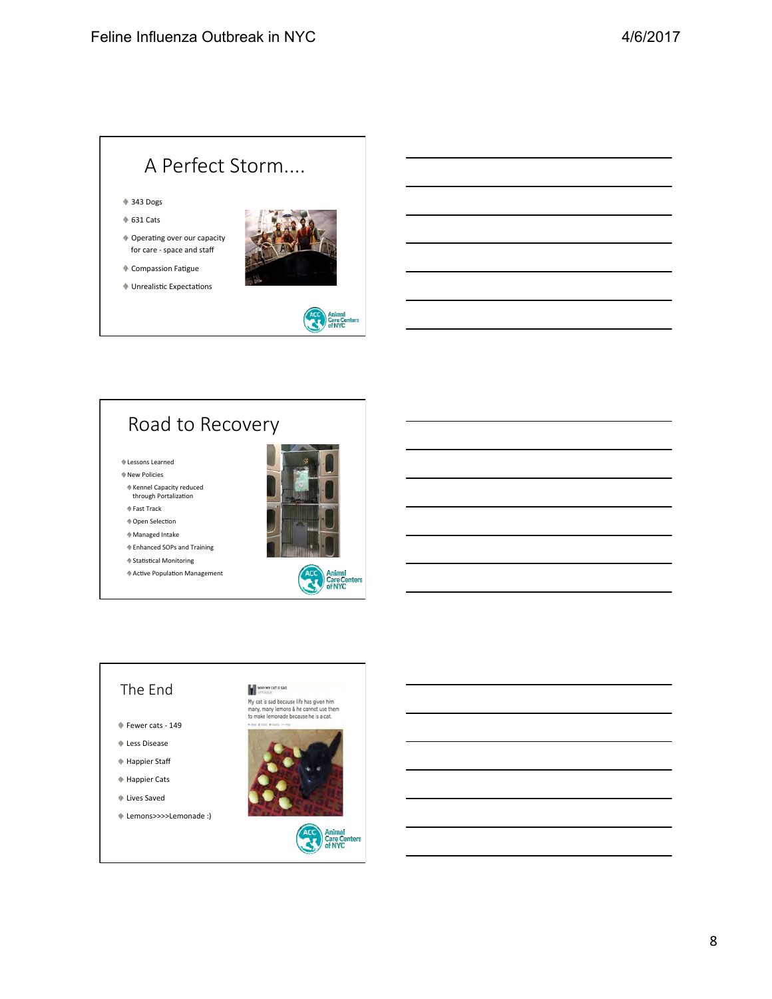# A Perfect Storm....

#### 343 Dogs

- $*$  631 Cats
- $\triangleq$  Operating over our capacity for care - space and staff



 $\Phi$  Compassion Fatigue  $\blacklozenge$  Unrealistic Expectations

## Road to Recovery

- $\Phi$  Lessons Learned
- New Policies
- Kennel Capacity reduced through Portalization
- $\Phi$  Fast Track
- $\Phi$  Open Selection
- $*$  Managed Intake
- Enhanced SOPs and Training
- $\textcolor{red}{\blacklozenge}$  Statistical Monitoring
- $*$  Active Population Management





Animal<br>Care C<br>of NYC

#### The End

- $\textcolor{blue}{\Phi}$  Fewer cats 149
- Less Disease
- Happier Staff
- Happier Cats
- $\Phi$  Lives Saved
- Lemons>>>>Lemonade :)

WHY MY CAT IS SAD My cat is sad because life has given him<br>many, many lemons & he cannot use them<br>to make lemonade because he is a cat.